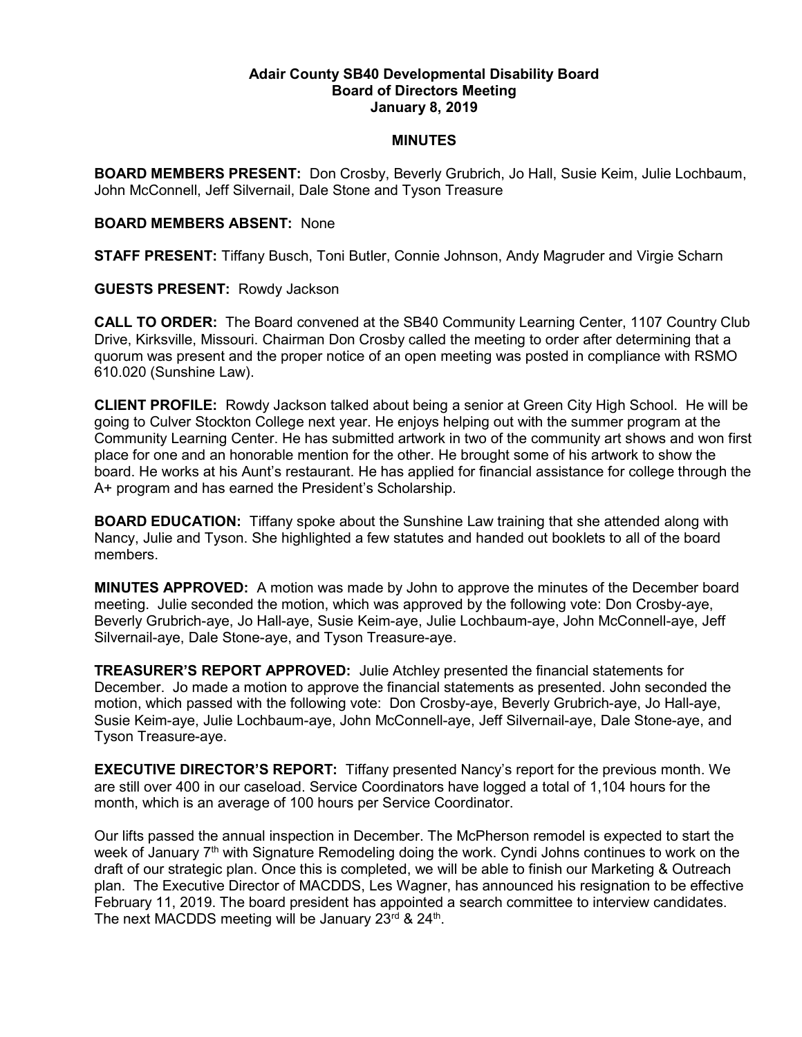## Adair County SB40 Developmental Disability Board Board of Directors Meeting January 8, 2019

## MINUTES

BOARD MEMBERS PRESENT: Don Crosby, Beverly Grubrich, Jo Hall, Susie Keim, Julie Lochbaum, John McConnell, Jeff Silvernail, Dale Stone and Tyson Treasure

## BOARD MEMBERS ABSENT: None

STAFF PRESENT: Tiffany Busch, Toni Butler, Connie Johnson, Andy Magruder and Virgie Scharn

GUESTS PRESENT: Rowdy Jackson

CALL TO ORDER: The Board convened at the SB40 Community Learning Center, 1107 Country Club Drive, Kirksville, Missouri. Chairman Don Crosby called the meeting to order after determining that a quorum was present and the proper notice of an open meeting was posted in compliance with RSMO 610.020 (Sunshine Law).

CLIENT PROFILE: Rowdy Jackson talked about being a senior at Green City High School. He will be going to Culver Stockton College next year. He enjoys helping out with the summer program at the Community Learning Center. He has submitted artwork in two of the community art shows and won first place for one and an honorable mention for the other. He brought some of his artwork to show the board. He works at his Aunt's restaurant. He has applied for financial assistance for college through the A+ program and has earned the President's Scholarship.

BOARD EDUCATION: Tiffany spoke about the Sunshine Law training that she attended along with Nancy, Julie and Tyson. She highlighted a few statutes and handed out booklets to all of the board members.

MINUTES APPROVED: A motion was made by John to approve the minutes of the December board meeting. Julie seconded the motion, which was approved by the following vote: Don Crosby-aye, Beverly Grubrich-aye, Jo Hall-aye, Susie Keim-aye, Julie Lochbaum-aye, John McConnell-aye, Jeff Silvernail-aye, Dale Stone-aye, and Tyson Treasure-aye.

TREASURER'S REPORT APPROVED: Julie Atchley presented the financial statements for December. Jo made a motion to approve the financial statements as presented. John seconded the motion, which passed with the following vote: Don Crosby-aye, Beverly Grubrich-aye, Jo Hall-aye, Susie Keim-aye, Julie Lochbaum-aye, John McConnell-aye, Jeff Silvernail-aye, Dale Stone-aye, and Tyson Treasure-aye.

EXECUTIVE DIRECTOR'S REPORT: Tiffany presented Nancy's report for the previous month. We are still over 400 in our caseload. Service Coordinators have logged a total of 1,104 hours for the month, which is an average of 100 hours per Service Coordinator.

Our lifts passed the annual inspection in December. The McPherson remodel is expected to start the week of January  $7<sup>th</sup>$  with Signature Remodeling doing the work. Cyndi Johns continues to work on the draft of our strategic plan. Once this is completed, we will be able to finish our Marketing & Outreach plan. The Executive Director of MACDDS, Les Wagner, has announced his resignation to be effective February 11, 2019. The board president has appointed a search committee to interview candidates. The next MACDDS meeting will be January 23 $rd$  & 24<sup>th</sup>.